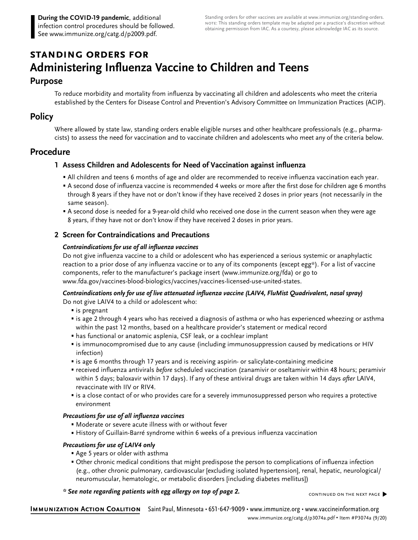# **standing orders for Administering Influenza Vaccine to Children and Teens**

## **Purpose**

To reduce morbidity and mortality from influenza by vaccinating all children and adolescents who meet the criteria established by the Centers for Disease Control and Prevention's Advisory Committee on Immunization Practices (ACIP).

# **Policy**

Where allowed by state law, standing orders enable eligible nurses and other healthcare professionals (e.g., pharmacists) to assess the need for vaccination and to vaccinate children and adolescents who meet any of the criteria below.

# **Procedure**

## **1 Assess Children and Adolescents for Need of Vaccination against influenza**

- All children and teens 6 months of age and older are recommended to receive influenza vaccination each year.
- A second dose of influenza vaccine is recommended 4 weeks or more after the first dose for children age 6 months through 8 years if they have not or don't know if they have received 2 doses in prior years (not necessarily in the same season).
- A second dose is needed for a 9-year-old child who received one dose in the current season when they were age 8 years, if they have not or don't know if they have received 2 doses in prior years.

## **2 Screen for Contraindications and Precautions**

#### **Contraindications for use of all influenza vaccines**

Do not give influenza vaccine to a child or adolescent who has experienced a serious systemic or anaphylactic reaction to a prior dose of any influenza vaccine or to any of its components (except egg\*). For a list of vaccine components, refer to the manufacturer's package insert [\(www.immunize.org/](http://www.immunize.org/fda)fda) or go to [www.fda.gov/vaccines](http://www.fda.gov/vaccines-blood-biologics/vaccines/vaccines-licensed-use-united-states)-blood-biologics/vaccines/vaccines-licensed-use-united-states.

#### **Contraindications only for use of live attenuated influenza vaccine (LAIV4, FluMist Quadrivalent, nasal spray)**

Do not give LAIV4 to a child or adolescent who:

- is pregnant
- is age 2 through 4 years who has received a diagnosis of asthma or who has experienced wheezing or asthma within the past 12 months, based on a healthcare provider's statement or medical record
- has functional or anatomic asplenia, CSF leak, or a cochlear implant
- is immunocompromised due to any cause (including immunosuppression caused by medications or HIV infection)
- is age 6 months through 17 years and is receiving aspirin- or salicylate-containing medicine
- received influenza antivirals *before* scheduled vaccination (zanamivir or oseltamivir within 48 hours; peramivir within 5 days; baloxavir within 17 days). If any of these antiviral drugs are taken within 14 days *after* LAIV4, revaccinate with IIV or RIV4.
- is a close contact of or who provides care for a severely immunosuppressed person who requires a protective environment

#### **Precautions for use of all influenza vaccines**

- Moderate or severe acute illness with or without fever
- History of Guillain-Barré syndrome within 6 weeks of a previous influenza vaccination

#### **Precautions for use of LAIV4 only**

- Age 5 years or older with asthma
- Other chronic medical conditions that might predispose the person to complications of influenza infection (e.g., other chronic pulmonary, cardiovascular [excluding isolated hypertension], renal, hepatic, neurological/ neuromuscular, hematologic, or metabolic disorders [including diabetes mellitus])

#### **\* See note regarding patients with egg allergy on top of page 2.**

continued on the next page�

**Immunization Action Coalition** Saint Paul, Minnesota • 651-647-9009 • [www.immunize.org](http://www.immunize.org) • [www.vaccineinformation.org](http://www.vaccineinformation.org) [www.immunize.org/catg.d/p](http://www.immunize.org/catg.d/p3074a.pdf)3074a.pdf • Item #P3074a (9/20)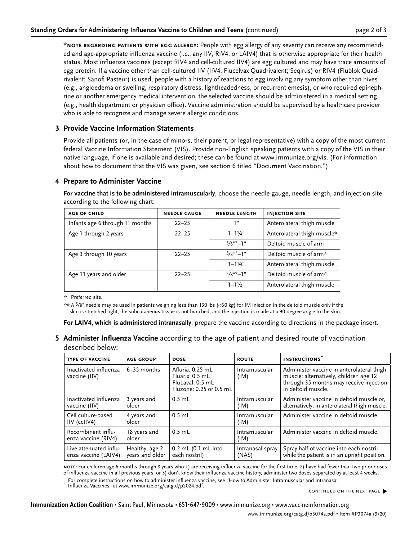**\*note regarding patients with egg allergy:** People with egg allergy of any severity can receive any recommended and age-appropriate influenza vaccine (i.e., any IIV, RIV4, or LAIV4) that is otherwise appropriate for their health status. Most influenza vaccines (except RIV4 and cell-cultured IIV4) are egg cultured and may have trace amounts of egg protein. If a vaccine other than cell-cultured IIV (IIV4, Flucelvax Quadrivalent; Seqirus) or RIV4 (Flublok Quadrivalent; Sanofi Pasteur) is used, people with a history of reactions to egg involving any symptom other than hives (e.g., angioedema or swelling, respiratory distress, lightheadedness, or recurrent emesis), or who required epinephrine or another emergency medical intervention, the selected vaccine should be administered in a medical setting (e.g., health department or physician office). Vaccine administration should be supervised by a healthcare provider who is able to recognize and manage severe allergic conditions.

### **3 Provide Vaccine Information Statements**

Provide all patients (or, in the case of minors, their parent, or legal representative) with a copy of the most current federal Vaccine Information Statement (VIS). Provide non-English speaking patients with a copy of the VIS in their native language, if one is available and desired; these can be found at [www.immunize.org/vis](http://www.immunize.org/vis). (For information about how to document that the VIS was given, see section 6 titled "Document Vaccination.")

#### **4 Prepare to Administer Vaccine**

**For vaccine that is to be administered intramuscularly**, choose the needle gauge, needle length, and injection site according to the following chart:

| <b>AGE OF CHILD</b>             | <b>NEEDLE GAUGE</b> | <b>NEEDLE LENGTH</b> | <b>INJECTION SITE</b>       |
|---------------------------------|---------------------|----------------------|-----------------------------|
| Infants age 6 through 11 months | $22 - 25$           | יי ד                 | Anterolateral thigh muscle  |
| Age 1 through 2 years           | $22 - 25$           | $1 - 1\frac{1}{4}$ " | Anterolateral thigh muscle* |
|                                 |                     | $5/8**-1"$           | Deltoid muscle of arm       |
| Age 3 through 10 years          | $22 - 25$           | $5/8$ **_]"          | Deltoid muscle of arm*      |
|                                 |                     | $1 - 11/4$ "         | Anterolateral thigh muscle  |
| Age 11 years and older          | $22 - 25$           | $5/8**-1"$           | Deltoid muscle of arm*      |
|                                 |                     | $1 - 11/2$ "         | Anterolateral thigh muscle  |

\* Preferred site.

\*\* A 5⁄8" needle may be used in patients weighing less than 130 lbs (<60 kg) for IM injection in the deltoid muscle only if the skin is stretched tight, the subcutaneous tissue is not bunched, and the injection is made at a 90-degree angle to the skin.

**For LAIV4, which is administered intranasally**, prepare the vaccine according to directions in the package insert.

**5 Administer Influenza Vaccine** according to the age of patient and desired route of vaccination described below:

| <b>TYPE OF VACCINE</b>                         | <b>AGE GROUP</b>                  | <b>DOSE</b>                                                                        | <b>ROUTE</b>              | <b>INSTRUCTIONS</b>                                                                                                                                  |
|------------------------------------------------|-----------------------------------|------------------------------------------------------------------------------------|---------------------------|------------------------------------------------------------------------------------------------------------------------------------------------------|
| Inactivated influenza<br>vaccine (IIV)         | $6-35$ months                     | Afluria: 0.25 mL<br>Fluarix: 0.5 mL<br>FluLaval: 0.5 mL<br>Fluzone: 0.25 or 0.5 mL | Intramuscular<br>(IM)     | Administer vaccine in anterolateral thigh<br>muscle; alternatively, children age 12<br>through 35 months may receive injection<br>in deltoid muscle. |
| Inactivated influenza<br>vaccine (IIV)         | 3 years and<br>older              | $0.5$ mL                                                                           | Intramuscular<br>(IM)     | Administer vaccine in deltoid muscle or,<br>alternatively, in anterolateral thigh muscle.                                                            |
| Cell culture-based<br>IIV (ccIIV4)             | 4 years and<br>older              | $0.5$ mL                                                                           | Intramuscular<br>(IM)     | Administer vaccine in deltoid muscle.                                                                                                                |
| Recombinant influ-<br>enza vaccine (RIV4)      | 18 years and<br>older             | $0.5$ mL                                                                           | Intramuscular<br>(IM)     | Administer vaccine in deltoid muscle.                                                                                                                |
| Live attenuated influ-<br>enza vaccine (LAIV4) | Healthy, age 2<br>years and older | 0.2 mL (0.1 mL into<br>each nostril)                                               | Intranasal spray<br>(NAS) | Spray half of vaccine into each nostril<br>while the patient is in an upright position.                                                              |

**note:** For children age 6 months through 8 years who 1) are receiving influenza vaccine for the first time, 2) have had fewer than two prior doses of influenza vaccine in all previous years, or 3) don't know their influenza vaccine history, administer two doses separated by at least 4 weeks. † For complete instructions on how to administer influenza vaccine, see "How to Administer Intramuscular and Intranasal

Influenza Vaccines" at [www.immunize.org/catg.d/p2024.pdf](http://www.immunize.org/catg.d/p2024.pdf).

continued on the next page�

**Immunization Action Coalition** • Saint Paul, Minnesota • 651-647-9009 • www.immunize.org • www.vaccineinformation.org www.immunize.org/catg.d/p3074a.pdf • Item #P3074a (9/20)